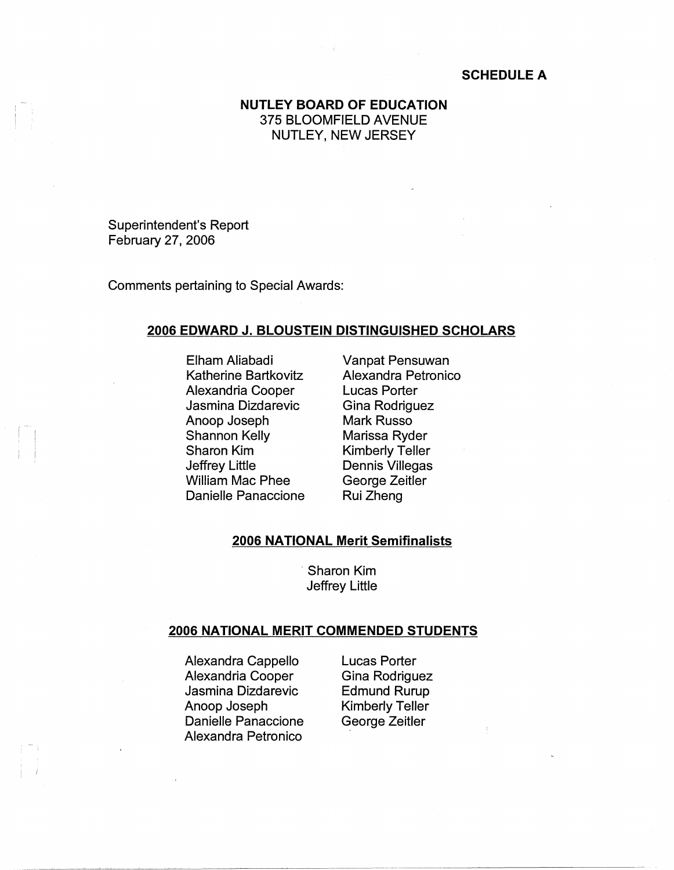## **SCHEDULE A**

# **NUTLEY BOARD OF EDUCATION**  375 BLOOMFIELD AVENUE NUTLEY, NEW JERSEY

Superintendent's Report February 27, 2006

Comments pertaining to Special Awards:

### **2006 EDWARD J. BLOUSTEIN DISTINGUISHED SCHOLARS**

Elham Aliabadi Katherine Bartkovitz Alexandria Cooper Jasmina Dizdarevic Anoop Joseph Shannon Kelly Sharon Kim Jeffrey Little William Mac Phee Danielle Panaccione

Vanpat Pensuwan Alexandra Petronico Lucas Porter Gina Rodriguez Mark Russo Marissa Ryder Kimberly Teller Dennis Villegas George Zeitler Rui Zheng

### **2006 NATIONAL Merit Semifinalists**

Sharon Kim Jeffrey Little

#### **2006 NATIONAL MERIT COMMENDED STUDENTS**

Alexandra Cappello Alexandria Cooper Jasmina Dizdarevic Anoop Joseph Danielle Panaccione Alexandra Petronico

Lucas Porter Gina Rodriguez Edmund Rurup Kimberly Teller George Zeitler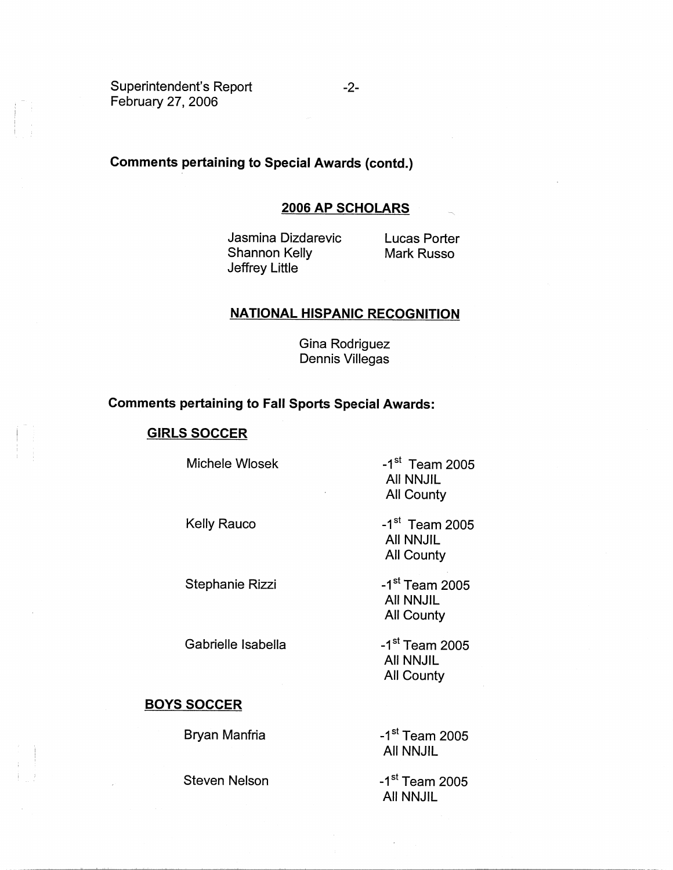Superintendent's Report February 27, 2006

### **Comments pertaining to Special Awards (contd.)**

### **2006 AP SCHOLARS**

Jasmina Dizdarevic Shannon Kelly Jeffrey Little

Lucas Porter Mark Russo

### **NATIONAL HISPANIC RECOGNITION**

Gina Rodriguez Dennis Villegas

## **Comments pertaining to Fall Sports Special Awards:**

#### **GIRLS SOCCER**

Michele Wlosek

Kelly Rauco

Stephanie Rizzi

Gabrielle Isabella

#### **BOYS SOCCER**

I I

Bryan Manfria

Steven Nelson

 $-1$ <sup>st</sup> Team 2005 All NNJIL All County

 $-1$ <sup>st</sup> Team 2005 All NNJIL All County

 $-1<sup>st</sup>$  Team 2005 All NNJIL All County

-1<sup>st</sup> Team 2005 All NNJIL All County

-1<sup>st</sup> Team 2005 All NNJIL

 $-1$ <sup>st</sup> Team 2005 All NNJIL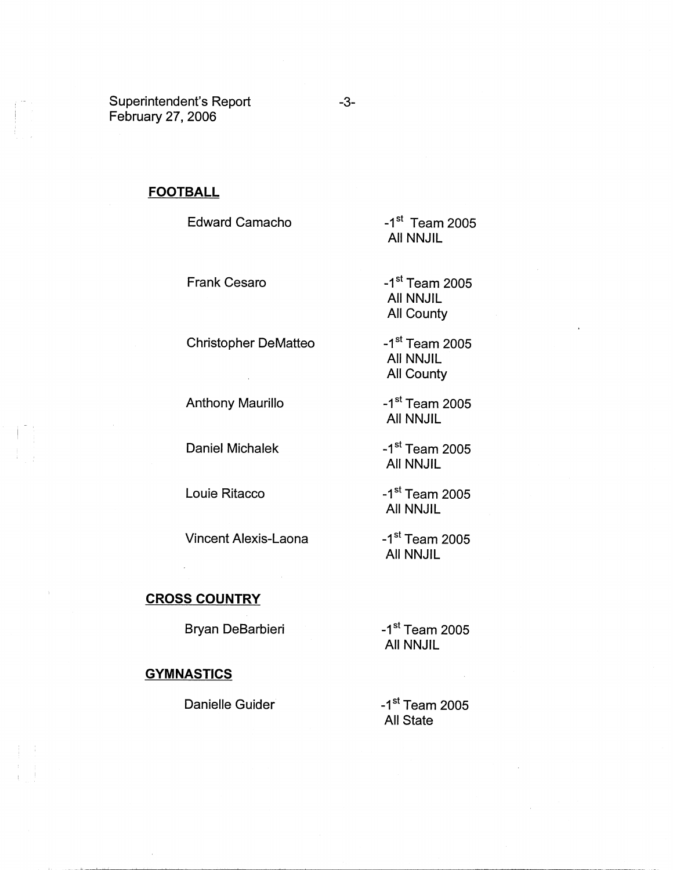Superintendent's Report February 27, 2006

# **FOOTBALL**

Edward Camacho

Frank Cesaro

Christopher DeMatteo

 $\hat{\mathcal{A}}$ 

Anthony Maurillo

Daniel Michalek

Louie Ritacco

Vincent Alexis-Laona

All NNJIL

 $-1$ <sup>st</sup> Team 2005

 $-1$ <sup>st</sup> Team 2005 All NNJIL All County

 $-1$ <sup>st</sup> Team 2005 All NNJIL All County

 $-1$ <sup>st</sup> Team 2005 All NNJIL

 $-1$ <sup>st</sup> Team 2005 All NNJIL

 $-1$ <sup>st</sup> Team 2005 All NNJIL

 $-1$ <sup>st</sup> Team 2005 All NNJIL

**CROSS COUNTRY** 

Bryan DeBarbieri

### **GYMNASTICS**

I I

Danielle Guider

 $-1$ <sup>st</sup> Team 2005 All State

 $-1$ <sup>st</sup> Team 2005 All NNJIL